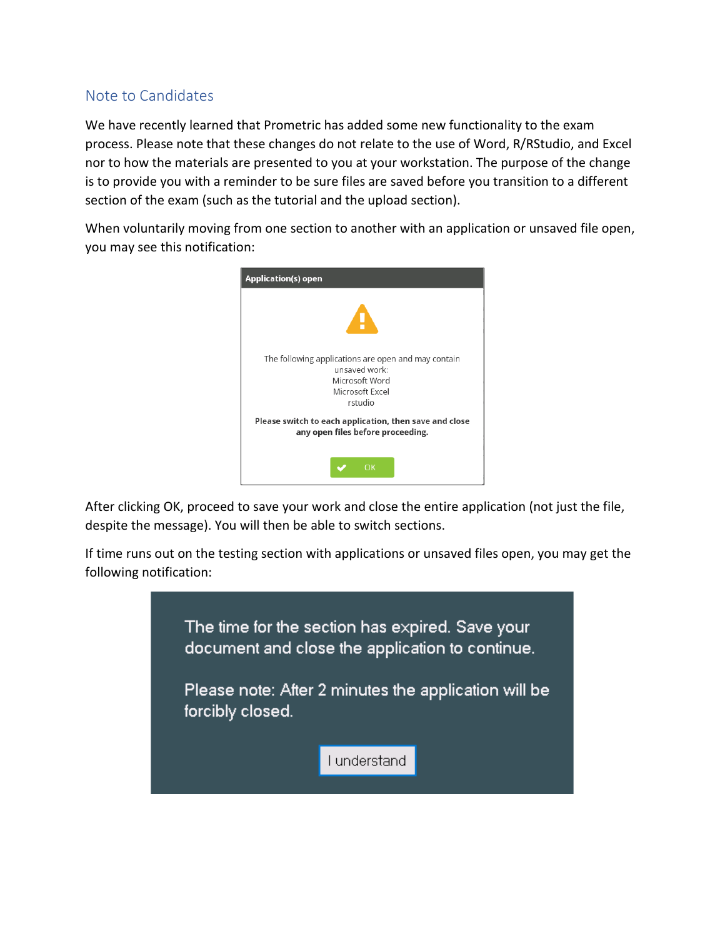## Note to Candidates

We have recently learned that Prometric has added some new functionality to the exam process. Please note that these changes do not relate to the use of Word, R/RStudio, and Excel nor to how the materials are presented to you at your workstation. The purpose of the change is to provide you with a reminder to be sure files are saved before you transition to a different section of the exam (such as the tutorial and the upload section).

When voluntarily moving from one section to another with an application or unsaved file open, you may see this notification:



After clicking OK, proceed to save your work and close the entire application (not just the file, despite the message). You will then be able to switch sections.

If time runs out on the testing section with applications or unsaved files open, you may get the following notification: